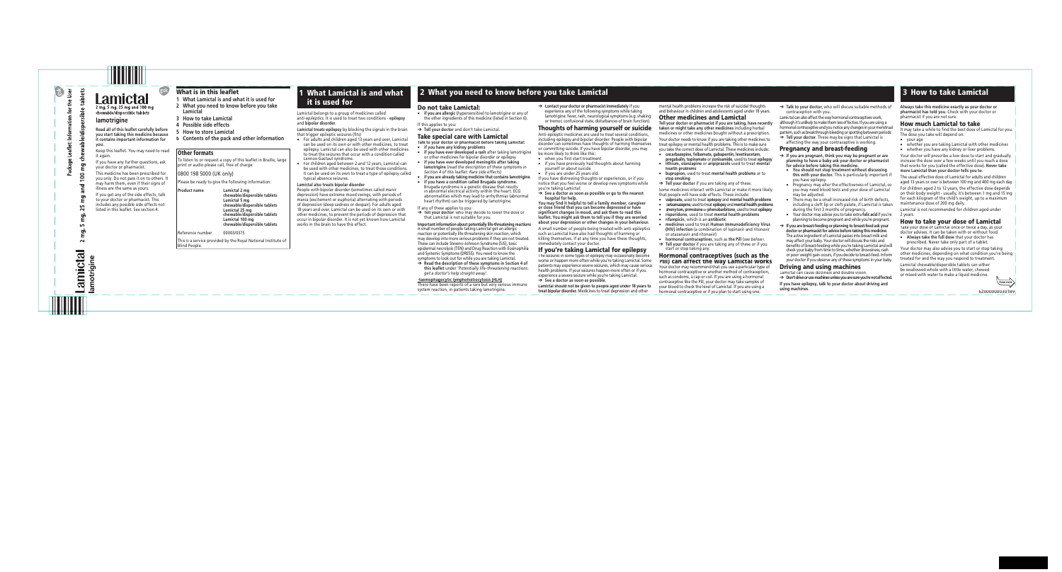$\sim$ 

amictal

Lamictal 2 mg, 5 mg, 25 mg and 100 mg chewable/dispersible tablets

### **lamotrigine**

## What is in this leaflet

- **1 What Lamictal is and what it is used for**
- **2 What you need to know before you take Lamictal**
- **3 How to take Lamictal**
- **4 Possible side effects**
- **5 How to store Lamictal**
- **6 Contents of the pack and other information**

## Other formats

To listen to or request a copy of this leaflet in Braille, large print or audio please call, free of charge:

### 0800 198 5000 (UK only)

Please be ready to give the following information:

**Lamictal treats epilepsy** by blocking the signals in the brain that trigger epileptic seizures (fits)

**Product name Lamictal 2 mg chewable/dispersible tablets Lamictal 5 mg chewable/dispersible tablets Lamictal 25 mg chewable/dispersible tablets Lamictal 100 mg chewable/dispersible tablets**

Reference number 00003/0375

This is a service provided by the Royal National Institute of Blind People.

Lamictal belongs to a group of medicines called *anti-epileptics*. It is used to treat two conditions - **epilepsy** and **bipolar disorder**.

- For adults and children aged 13 years and over, Lamictal can be used on its own or with other medicines, to treat epilepsy. Lamictal can also be used with other medicines to treat the seizures that occur with a condition called Lennox-Gastaut syndrome.
- For children aged between 2 and 12 years, Lamictal can be used with other medicines, to treat those conditions. It can be used on its own to treat a type of epilepsy called typical absence seizures.

#### **Lamictal also treats bipolar disorder**

People with bipolar disorder (sometimes called *manic depression*) have extreme mood swings, with periods of mania (excitement or euphoria) alternating with periods of depression (deep sadness or despair). For adults aged 18 years and over, Lamictal can be used on its own or with other medicines, to prevent the periods of depression that occur in bipolar disorder. It is not yet known how Lamictal works in the brain to have this effect.

Anti-epileptic medicines are used to treat several conditions, including epilepsy and bipolar disorder. People with bipolar disorder can sometimes have thoughts of harming themselves or committing suicide. If you have bipolar disorder, you may be more likely to think like this:

the other ingredients of this medicine (listed in Section 6).

#### If this applies to you:

➔ **Tell your doctor** and don't take Lamictal.

## Take special care with Lamictal

- when you first start treatment
- if you have previously had thoughts about harming yourself or about suicide
- if you are under 25 years old.

**Talk to your doctor or pharmacist before taking Lamictal:**

- **if you have any kidney problems**
- **if you have ever developed a rash** after taking lamotrig or other medicines for bipolar disorder or epilepsy
- **if you have ever developed meningitis after taking lamotrigine** (*read the description of these symptoms in Section 4 of this leaflet*: *Rare side effects*)
- **if you are already taking medicine that contains lamotrigine**.
- **if you have a condition called Brugada syndrome.**  Brugada syndrome is a genetic disease that results in abnormal electrical activity within the heart. ECG abnormalities which may lead to arrhythmias (abnormal heart rhythm) can be triggered by lamotrigine.

If any of these applies to you:

➔ **Tell your doctor**, who may decide to lower the dose or that Lamictal is not suitable for you.

## **Important information about potentially life-threatening reactions**

A small number of people taking Lamictal get an allergic reaction or potentially life-threatening skin reaction, which may develop into more serious problems if they are not treated These can include Stevens–Johnson Syndrome (SJS), toxic epidermal necrolysis (TEN) and Drug Reaction with Eosinophilia and Systemic Symptoms (DRESS). You need to know the symptoms to look out for while you are taking Lamictal.

➔ **Read the description of these symptoms in Section 4 of this leaflet** under '*Potentially life-threatening reactions*: *get a doctor's help straight away*'.

#### **Haemophagocytic lymphohistiocytosis (HLH)**

### Hormonal contraceptives (such as the Hormonal contraceptives (such as the<br>Pill) can affect the way Lamictal works

There have been reports of a rare but very serious immune system reaction, in patients taking lamotrigine.

Your doctor may recommend that you use a particular type of hormonal contraceptive or another method of contraception, such as condoms, a cap or coil. If you are using a hormonal contraceptive like the Pill, your doctor may take samples of your blood to check the level of Lamictal. If you are using a hormonal contraceptive or if you plan to start using one:

→ **Talk to your doctor**, who will discuss suitable methods of contraception with you.

- 
- ➔ **Contact your doctor or pharmacist immediately** if you experience any of the following symptoms while taking lamotrigine: fever, rash, neurological symptoms (e.g. shaking or tremor, confusional state, disturbances of brain function).

Thoughts of harming yourself or suicide

→ **Tell your doctor**. These may be signs that Lamictal is affecting the way your contraceptive is working.

If you have distressing thoughts or experiences, or if you notice that you feel worse or develop new symptoms while you're taking Lamictal:

➔ **See a doctor as soon as possible or go to the nearest hospital for help.**

**You may find it helpful to tell a family member, caregiver or close friend that you can become depressed or have significant changes in mood, and ask them to read this leaflet. You might ask them to tell you if they are worried about your depression or other changes in your behaviour.**

- whether you are taking Lamictal with other medicines
- whether you have any kidney or liver problems.

A small number of people being treated with anti-epileptics such as Lamictal have also had thoughts of harming or killing themselves. If at any time you have these thoughts, immediately contact your doctor.

If you're taking Lamictal for epilepsy

The seizures in some types of epilepsy may occasionally become worse or happen more often while you're taking Lamictal. Some patients may experience severe seizures, which may cause serious health problems. If your seizures happen more often or if you experience a severe seizure while you're taking Lamictal: ➔ **See a doctor as soon as possible**.

**Lamictal should not be given to people aged under 18 years to treat bipolar disorder.** Medicines to treat depression and other

mental health problems increase the risk of suicidal thoughts and behaviour in children and adolescents aged under 18 years.

## Other medicines and Lamictal

**Tell your doctor or pharmacist if you are taking, have recently taken or might take any other medicines** including herbal medicines or other medicines bought without a prescription.

Your doctor needs to know if you are taking other medicines to treat epilepsy or mental health problems. This is to make sure you take the correct dose of Lamictal. These medicines include:

- **oxcarbazepine, felbamate, gabapentin, levetiracetam, pregabalin, topiramate** or **zonisamide**, used to treat **epilepsy**
- **lithium, olanzapine** or **aripiprazole** used to treat **mental health problems**
- **bupropion,** used to treat **mental health problems** or to **stop smoking**
- ➔ **Tell your doctor** if you are taking any of these.

Some medicines interact with Lamictal or make it more likely that people will have side effects. These include:

- **valproate**, used to treat **epilepsy** and **mental health problems**
- **carbamazepine**, used to treat**epilepsy** and**mental health problems**
- **phenytoin, primidone**or**phenobarbitone**, used to treat **epilepsy** • **risperidone**, used to treat **mental health problems**
- **rifampicin**, which is an **antibiotic**
- **medicines** used to treat **Human Immunodeficiency Virus (HIV) infection** (a combination of lopinavir and ritonavir or atazanavir and ritonavir)
- **hormonal contraceptives**, such as **the Pill** (*see below*).
- ➔ **Tell your doctor** if you are taking any of these or if you start or stop taking any.

Lamictal can also affect the way hormonal contraceptives work, although it's unlikely to make them less effective. If you are using a hormonal contraceptive and you notice any changes in your menstrual pattern, such as breakthrough bleeding or spotting between periods:

## Pregnancy and breast-feeding

- ➔ **If you are pregnant, think you may be pregnant or are planning to have a baby ask your doctor or pharmacist for advice before taking this medicine.**
- **You should not stop treatment without discussing this with your doctor.** This is particularly important if you have epilepsy.
- Pregnancy may alter the effectiveness of Lamictal, so you may need blood tests and your dose of Lamictal may be adjusted.
- There may be a small increased risk of birth defects, including a cleft lip or cleft palate, if Lamictal is taken during the first 3 months of pregnancy.
- Your doctor may advise you to take extra **folic acid** if you're planning to become pregnant and while you're pregnant.
- ➔ **If you are breast-feeding or planning to breast-feed ask your doctor or pharmacist for advice before taking this medicine**. The active ingredient of Lamictal passes into breast milk and may affect your baby. Your doctor will discuss the risks and benefits of breast-feeding while you're taking Lamictal and will check your baby from time to time, whether drowsiness, rash or poor weight gain occurs, if you decide to breast-feed. Inform your doctor if you observe any of these symptoms in your baby.

## Driving and using machines

Lamictal can cause dizziness and double vision.

➔ **Don't drive or use machines unless you are sure you're not affected. If you have epilepsy, talk to your doctor about driving and using machines**.

**Always take this medicine exactly as your doctor or pharmacist has told you**. Check with your doctor or pharmacist if you are not sure.

### How much Lamictal to take

It may take a while to find the best dose of Lamictal for you. The dose you take will depend on:

• your age

Your doctor will prescribe a low dose to start and gradually increase the dose over a few weeks until you reach a dose that works for you (called the *effective dose*). **Never take more Lamictal than your doctor tells you to**.

The usual effective dose of Lamictal for adults and children aged 13 years or over is between 100 mg and 400 mg each day.

For children aged 2 to 12 years, the effective dose depends on their body weight - usually, it's between 1 mg and 15 mg for each kilogram of the child's weight, up to a maximum maintenance dose of 200 mg daily.

Lamictal is not recommended for children aged under 2 years.

## How to take your dose of Lamictal

Take your dose of Lamictal once or twice a day, as your doctor advises. It can be taken with or without food.

• **Always take the full dose** that your doctor has prescribed. Never take only part of a tablet.

Your doctor may also advise you to start or stop taking other medicines, depending on what condition you're being treated for and the way you respond to treatment.

Lamictal chewable/dispersible tablets can either be swallowed whole with a little water, chewed or mixed with water to make a liquid medicine.



**Read all of this leaflet carefully before you start taking this medicine because it contains important information for you.**

Keep this leaflet. You may need to read it again.

If you have any further questions, ask your doctor or pharmacist.

This medicine has been prescribed for you only. Do not pass it on to others. It may harm them, even if their signs of illness are the same as yours.

If you get any of the side effects, talk to your doctor or pharmacist. This includes any possible side effects not listed in this leaflet. See section 4.

## **1** What Lamictal is and what it is used for

## **2** What you need to know before you take Lamictal **3** How to take Lamictal

## **Do not take Lamictal:**<br>• **if you are allergic** (*hypersensitive*) to lamotrigine or any of

62000000030189